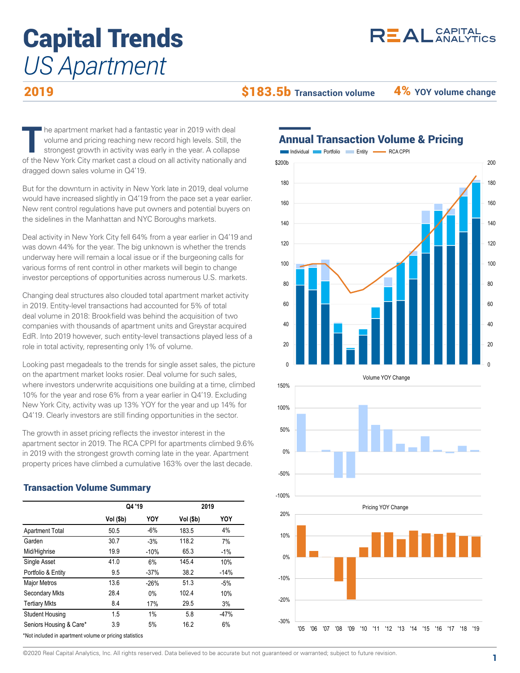# $R<sup>2</sup>AL<sub>ANALYTICS</sub>$

# Capital Trends *US Apartment*

2019

\$183.5b **Transaction volume** 4% **YOY volume change**

The apartment market had a fantastic year in 2019 with deal<br>volume and pricing reaching new record high levels. Still, the<br>strongest growth in activity was early in the year. A collapse<br>of the New York City market seat a c he apartment market had a fantastic year in 2019 with deal volume and pricing reaching new record high levels. Still, the strongest growth in activity was early in the year. A collapse of the New York City market cast a cloud on all activity nationally and dragged down sales volume in Q4'19.

But for the downturn in activity in New York late in 2019, deal volume would have increased slightly in Q4'19 from the pace set a year earlier. New rent control regulations have put owners and potential buyers on the sidelines in the Manhattan and NYC Boroughs markets.

Deal activity in New York City fell 64% from a year earlier in Q4'19 and was down 44% for the year. The big unknown is whether the trends underway here will remain a local issue or if the burgeoning calls for various forms of rent control in other markets will begin to change investor perceptions of opportunities across numerous U.S. markets.

Changing deal structures also clouded total apartment market activity in 2019. Entity-level transactions had accounted for 5% of total deal volume in 2018: Brookfield was behind the acquisition of two companies with thousands of apartment units and Greystar acquired EdR. Into 2019 however, such entity-level transactions played less of a role in total activity, representing only 1% of volume.

Looking past megadeals to the trends for single asset sales, the picture on the apartment market looks rosier. Deal volume for such sales, where investors underwrite acquisitions one building at a time, climbed 10% for the year and rose 6% from a year earlier in Q4'19. Excluding New York City, activity was up 13% YOY for the year and up 14% for Q4'19. Clearly investors are still finding opportunities in the sector.

The growth in asset pricing reflects the investor interest in the apartment sector in 2019. The RCA CPPI for apartments climbed 9.6% in 2019 with the strongest growth coming late in the year. Apartment property prices have climbed a cumulative 163% over the last decade.

## **Vol (\$b) YOY Vol (\$b) YOY** Apartment Total 50.5 -6% 183.5 4% Garden 30.7 - 3% 118.2 7% Mid/Highrise 19.9 -10% 65.3 -1% Single Asset 41.0 6% 145.4 10% Portfolio & Entity 9.5 -37% 38.2 -14% Major Metros **13.6** -26% 51.3 -5% Secondary Mkts 28.4 0% 102.4 10% Tertiary Mkts 8.4 17% 29.5 3% Student Housing 1.5 1% 5.8 -47% Seniors Housing & Care\* 3.9 5% 16.2 6% **Q4 '19 2019**

\*Not included in apartment volume or pricing statistics

Transaction Volume Summary

## Annual Transaction Volume & Pricing



©2020 Real Capital Analytics, Inc. All rights reserved. Data believed to be accurate but not guaranteed or warranted; subject to future revision.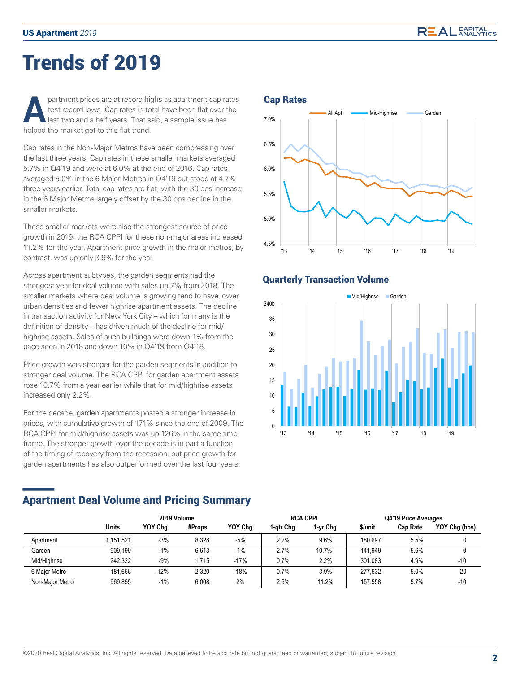# Trends of 2019

**Partment prices are at record highs as apartment cap rates <b>Cap Rates**<br>test record lows. Cap rates in total have been flat over the<br>halped the market get to this flat trend test record lows. Cap rates in total have been flat over the last two and a half years. That said, a sample issue has helped the market get to this flat trend.

Cap rates in the Non-Major Metros have been compressing over the last three years. Cap rates in these smaller markets averaged 5.7% in Q4'19 and were at 6.0% at the end of 2016. Cap rates averaged 5.0% in the 6 Major Metros in Q4'19 but stood at 4.7% three years earlier. Total cap rates are flat, with the 30 bps increase in the 6 Major Metros largely offset by the 30 bps decline in the smaller markets.

These smaller markets were also the strongest source of price growth in 2019: the RCA CPPI for these non-major areas increased 11.2% for the year. Apartment price growth in the major metros, by contrast, was up only 3.9% for the year.

Across apartment subtypes, the garden segments had the strongest year for deal volume with sales up 7% from 2018. The smaller markets where deal volume is growing tend to have lower urban densities and fewer highrise apartment assets. The decline in transaction activity for New York City – which for many is the definition of density – has driven much of the decline for mid/ highrise assets. Sales of such buildings were down 1% from the pace seen in 2018 and down 10% in Q4'19 from Q4'18.

Price growth was stronger for the garden segments in addition to stronger deal volume. The RCA CPPI for garden apartment assets rose 10.7% from a year earlier while that for mid/highrise assets increased only 2.2%.

For the decade, garden apartments posted a stronger increase in prices, with cumulative growth of 171% since the end of 2009. The RCA CPPI for mid/highrise assets was up 126% in the same time frame. The stronger growth over the decade is in part a function of the timing of recovery from the recession, but price growth for garden apartments has also outperformed over the last four years.



### Quarterly Transaction Volume



## Apartment Deal Volume and Pricing Summary

|                 | 2019 Volume |         |        |         |           | <b>RCA CPPI</b> | Q4'19 Price Averages |                 |               |
|-----------------|-------------|---------|--------|---------|-----------|-----------------|----------------------|-----------------|---------------|
|                 | Units       | YOY Cha | #Props | YOY Cha | 1-atr Cha | 1-vr Chg        | \$/unit              | <b>Cap Rate</b> | YOY Chg (bps) |
| Apartment       | .151.521    | $-3%$   | 8,328  | $-5%$   | 2.2%      | 9.6%            | 180.697              | 5.5%            |               |
| Garden          | 909.199     | $-1%$   | 6,613  | $-1\%$  | 2.7%      | 10.7%           | 141.949              | 5.6%            |               |
| Mid/Highrise    | 242.322     | $-9%$   | 1.715  | $-17%$  | 0.7%      | 2.2%            | 301.083              | 4.9%            | $-10$         |
| 6 Major Metro   | 181.666     | $-12%$  | 2.320  | $-18%$  | 0.7%      | 3.9%            | 277.532              | 5.0%            | 20            |
| Non-Major Metro | 969.855     | $-1%$   | 6,008  | 2%      | 2.5%      | 11.2%           | 157.558              | 5.7%            | $-10$         |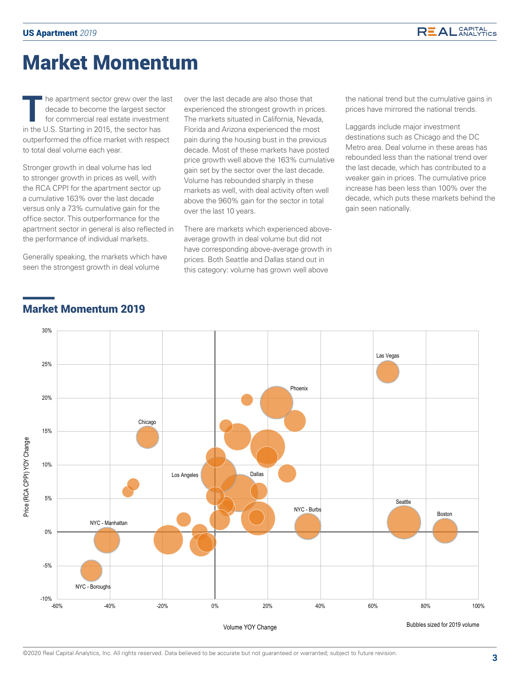# Market Momentum

The apartment sector grew over the last<br>decade to become the largest sector<br>for commercial real estate investment<br>in the U.S. Sterting in 2015, the sector has decade to become the largest sector for commercial real estate investment in the U.S. Starting in 2015, the sector has outperformed the office market with respect to total deal volume each year.

Stronger growth in deal volume has led to stronger growth in prices as well, with the RCA CPPI for the apartment sector up a cumulative 163% over the last decade versus only a 73% cumulative gain for the office sector. This outperformance for the apartment sector in general is also reflected in the performance of individual markets.

Generally speaking, the markets which have seen the strongest growth in deal volume

over the last decade are also those that experienced the strongest growth in prices. The markets situated in California, Nevada, Florida and Arizona experienced the most pain during the housing bust in the previous decade. Most of these markets have posted price growth well above the 163% cumulative gain set by the sector over the last decade. Volume has rebounded sharply in these markets as well, with deal activity often well above the 960% gain for the sector in total over the last 10 years.

There are markets which experienced aboveaverage growth in deal volume but did not have corresponding above-average growth in prices. Both Seattle and Dallas stand out in this category: volume has grown well above

the national trend but the cumulative gains in prices have mirrored the national trends.

Laggards include major investment destinations such as Chicago and the DC Metro area. Deal volume in these areas has rebounded less than the national trend over the last decade, which has contributed to a weaker gain in prices. The cumulative price increase has been less than 100% over the decade, which puts these markets behind the gain seen nationally.



## Market Momentum 2019

30%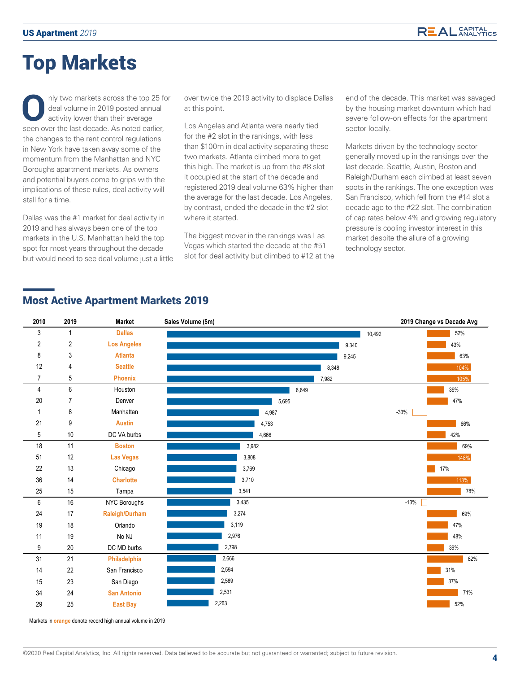# Top Markets

**O**nly two markets across the top 25 for deal volume in 2019 posted annual activity lower than their average seen over the last decade. As noted earlier, the changes to the rent control regulations in New York have taken away some of the momentum from the Manhattan and NYC Boroughs apartment markets. As owners and potential buyers come to grips with the implications of these rules, deal activity will stall for a time.

Dallas was the #1 market for deal activity in 2019 and has always been one of the top markets in the U.S. Manhattan held the top spot for most years throughout the decade but would need to see deal volume just a little over twice the 2019 activity to displace Dallas at this point.

Los Angeles and Atlanta were nearly tied for the #2 slot in the rankings, with less than \$100m in deal activity separating these two markets. Atlanta climbed more to get this high. The market is up from the #8 slot it occupied at the start of the decade and registered 2019 deal volume 63% higher than the average for the last decade. Los Angeles, by contrast, ended the decade in the #2 slot where it started.

The biggest mover in the rankings was Las Vegas which started the decade at the #51 slot for deal activity but climbed to #12 at the

end of the decade. This market was savaged by the housing market downturn which had severe follow-on effects for the apartment sector locally.

Markets driven by the technology sector generally moved up in the rankings over the last decade. Seattle, Austin, Boston and Raleigh/Durham each climbed at least seven spots in the rankings. The one exception was San Francisco, which fell from the #14 slot a decade ago to the #22 slot. The combination of cap rates below 4% and growing regulatory pressure is cooling investor interest in this market despite the allure of a growing technology sector.

## Most Active Apartment Markets 2019



Markets in **orange** denote record high annual volume in 2019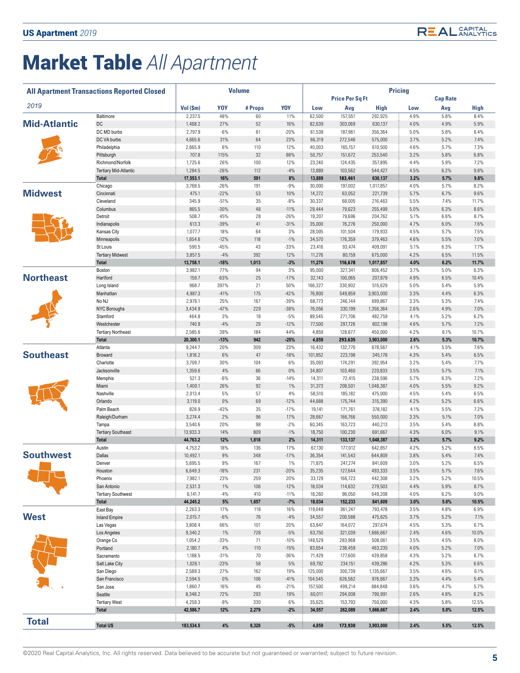# Market Table *All Apartment*

|                     | <b>All Apartment Transactions Reported Closed</b> |                     |                 | <b>Volume</b> |               | <b>Pricing</b>    |                        |                      |              |                 |                |
|---------------------|---------------------------------------------------|---------------------|-----------------|---------------|---------------|-------------------|------------------------|----------------------|--------------|-----------------|----------------|
|                     |                                                   |                     |                 |               |               |                   | <b>Price Per Sq Ft</b> |                      |              | <b>Cap Rate</b> |                |
| 2019                |                                                   | Vol (\$m)           | <b>YOY</b>      | #Props        | <b>YOY</b>    | Low               | Avg                    | High                 | Low          | Avg             | High           |
|                     | Baltimore                                         | 2,237.5             | 48%             | 60            | 11%           | 62,500            | 157,551                | 292,925              | 4.9%         | 5.8%            | 8.4%           |
| <b>Mid-Atlantic</b> | DC<br>DC MD burbs                                 | 1,468.2<br>2,797.9  | 27%<br>$-6%$    | 52<br>61      | 16%<br>$-20%$ | 82,639<br>61,538  | 303,069<br>187,961     | 630,137<br>356,364   | 4.0%<br>5.0% | 4.9%<br>5.8%    | 5.9%<br>6.4%   |
|                     | DC VA burbs                                       | 4,665.6             | 31%             | 64            | 23%           | 66,319            | 272,546                | 575,000              | 3.7%         | 5.2%            | 7.4%           |
|                     | Philadelphia                                      | 2,665.9             | 6%              | 110           | 12%           | 40,003            | 165,157                | 610,500              | 4.6%         | 5.7%            | 7.3%           |
|                     | Pittsburgh                                        | 707.8               | 115%            | 32            | 88%           | 50,757            | 151,672                | 253,540              | 3.2%         | 5.8%            | 6.8%           |
|                     | Richmond/Norfolk                                  | 1,725.6             | 26%             | 100           | 12%           | 23,240            | 124,435                | 357,895              | 4.4%         | 5.9%            | 7.2%           |
|                     | Tertiary Mid-Atlantic                             | 1,284.5             | $-26%$          | 112           | $-4%$         | 13,889            | 103,562                | 544,427              | 4.5%         | 6.2%            | 9.8%           |
|                     | <b>Total</b>                                      | 17,553.1            | 16%             | 591           | 8%            | 13,889            | 183,461                | 630,137              | 3.2%         | 5.7%            | 9.8%           |
|                     | Chicago                                           | 3,769.5             | $-26%$          | 191           | $-9%$         | 30,000            | 197,002                | 1,017,857            | 4.0%         | 5.7%            | 8.2%           |
| <b>Midwest</b>      | Cincinnati                                        | 475.1               | $-22%$          | 53            | 10%           | 14,272            | 63,052                 | 221,739              | 5.7%         | 6.7%            | 9.6%           |
|                     | Cleveland                                         | 345.9               | $-51%$          | 35            | $-8%$         | 30,337            | 68,005                 | 216,463              | 5.5%         | 7.4%            | 11.7%          |
|                     | Columbus                                          | 865.5               | $-30%$          | 48            | $-11%$        | 29,444            | 79,623                 | 255,499              | 5.0%         | 6.3%            | 8.6%           |
|                     | Detroit                                           | 508.7               | 45%             | 28            | $-26%$        | 19,207            | 79,696                 | 204,762              | 5.1%         | 6.6%            | 8.7%           |
|                     | Indianapolis                                      | 613.3               | $-39%$          | 41            | $-31%$        | 35,000            | 76,276                 | 250,000              | 4.7%         | 6.0%            | 7.6%           |
|                     | Kansas City                                       | 1,077.7             | 18%             | 64            | 3%            | 28,005            | 101,504                | 179,933              | 4.5%         | 5.7%            | 7.5%           |
|                     | Minneapolis                                       | 1,654.6             | $-12%$          | 118           | $-1\%$        | 34,570            | 176,359                | 379,463              | 4.6%         | 5.5%            | 7.0%           |
|                     | St Louis                                          | 590.5               | $-45%$          | 43<br>392     | $-33%$        | 23,416            | 93,474                 | 409,091              | 5.1%         | 6.3%<br>6.5%    | 7.7%           |
|                     | <b>Tertiary Midwest</b><br><b>Total</b>           | 3,857.5<br>13,758.1 | $-4%$<br>$-18%$ | 1,013         | 12%<br>$-3%$  | 11,276<br>11,276  | 80,159<br>116,678      | 675,000<br>1,017,857 | 4.2%<br>4.0% | 6.2%            | 11.5%<br>11.7% |
|                     | Boston                                            | 3,982.1             | 77%             | 94            | 3%            | 95,000            | 327,341                | 806,452              | 3.7%         | 5.0%            | 6.3%           |
| <b>Northeast</b>    | Hartford                                          | 159.7               | $-63%$          | 25            | $-17%$        | 32,143            | 100,065                | 207,879              | 4.9%         | 6.5%            | 10.4%          |
|                     | Long Island                                       | 968.7               | 397%            | 21            | 50%           | 166,327           | 330,902                | 515,629              | 5.0%         | 5.4%            | 5.9%           |
|                     | Manhattan                                         | 4,987.3             | $-41%$          | 175           | $-42%$        | 76,800            | 549,859                | 3,903,000            | 3.3%         | 4.4%            | 6.3%           |
|                     | No NJ                                             | 2,976.1             | 25%             | 167           | $-39%$        | 68,773            | 246,144                | 699,867              | 3.3%         | 5.3%            | 7.4%           |
|                     | <b>NYC Boroughs</b>                               | 3,434.9             | $-47%$          | 229           | $-38%$        | 76,056            | 330,199                | 1,356,364            | 2.6%         | 4.9%            | 7.0%           |
|                     | Stamford                                          | 464.8               | 3%              | 18            | $-5%$         | 89,545            | 271,706                | 482,759              | 4.1%         | 5.2%            | 6.2%           |
|                     | Westchester                                       | 740.9               | $-4%$           | 29            | $-12%$        | 77,500            | 297,726                | 802,198              | 4.6%         | 5.7%            | 7.2%           |
|                     | <b>Tertiary Northeast</b>                         | 2,585.6             | 39%             | 184           | 44%           | 4,859             | 128,677                | 450,000              | 4.2%         | 6.1%            | 10.7%          |
|                     | <b>Total</b>                                      | 20,300.1            | $-13%$          | 942           | $-25%$        | 4,859             | 293,635                | 3,903,000            | 2.6%         | 5.3%            | 10.7%          |
|                     | Atlanta                                           | 9,244.7             | 20%             | 309           | 23%           | 16,432            | 132,770                | 678,567              | 4.1%         | 5.5%            | 7.6%           |
| <b>Southeast</b>    | Broward                                           | 1,818.2             | 6%              | 47            | $-18%$        | 101,852           | 223,198                | 345,178              | 4.3%         | 5.4%            | 6.5%           |
|                     | Charlotte                                         | 3,709.7             | 30%             | 104           | 6%            | 35,093            | 174,291                | 392,954              | 3.2%         | 5.4%            | 7.7%           |
|                     | Jacksonville                                      | 1,359.6             | 4%              | 66            | $0\%$         | 34,807            | 103,460                | 220,833              | 3.5%         | 5.7%            | 7.1%           |
|                     | Memphis<br>Miami                                  | 521.3<br>1,400.1    | $-6%$<br>26%    | 36<br>92      | $-14%$<br>1%  | 14,311<br>31,373  | 72,415<br>208,501      | 238,596<br>1,048,387 | 5.7%<br>4.0% | 6.3%<br>5.5%    | 7.2%<br>9.2%   |
|                     | Nashville                                         | 2,013.4             | 5%              | 57            | 4%            | 58,510            | 185,182                | 475,000              | 4.5%         | 5.4%            | 6.5%           |
|                     | Orlando                                           | 3,119.0             | 0%              | 69            | $-12%$        | 44,688            | 175,744                | 315,390              | 4.2%         | 5.2%            | 6.6%           |
|                     | Palm Beach                                        | 828.9               | $-43%$          | 35            | $-17%$        | 19,141            | 171,761                | 378,182              | 4.1%         | 5.5%            | 7.2%           |
|                     | Raleigh/Durham                                    | 3,274.4             | 2%              | 96            | 17%           | 28,667            | 166,766                | 550,000              | 3.3%         | 5.1%            | 7.0%           |
|                     | Tampa                                             | 3,540.6             | 20%             | 98            | $-2%$         | 60,345            | 163,723                | 440,213              | 3.5%         | 5.4%            | 8.8%           |
|                     | <b>Tertiary Southeast</b>                         | 13,933.3            | 14%             | 809           | $-1%$         | 18,750            | 100,230                | 691,667              | 4.3%         | 6.0%            | 9.1%           |
|                     | <b>Total</b>                                      | 44,763.2            | 12%             | 1,818         | 2%            | 14,311            | 133,137                | 1,048,387            | 3.2%         | 5.7%            | 9.2%           |
|                     | Austin                                            | 4,753.2             | 18%             | 136           | 17%           | 67,130            | 177,012                | 642,857              | 4.2%         | 5.2%            | 6.5%           |
| <b>Southwest</b>    | Dallas                                            | 10,492.1            | 9%              | 348           | $-17%$        | 36,354            | 141,543                | 644,809              | 3.8%         | 5.4%            | 7.4%           |
|                     | Denver                                            | 5.695.5             | 9%              | 167           | 1%            | 71,875            | 247,274                | 841,609              | 3.0%         | 5.2%            | 6.5%           |
|                     | Houston                                           | 6,649.3             | $-18%$          | 231           | $-20%$        | 35,235            | 127,644                | 493,333              | 3.5%         | 5.7%            | 7.6%           |
|                     | Phoenix                                           | 7,982.1             | 23%             | 259           | 20%           | 33,129            | 166,723                | 442,308              | 3.2%         | 5.2%            | 10.5%          |
|                     | San Antonio                                       | 2,531.3             | 1%              | 106           | $-12%$        | 18,034            | 114,632                | 279,503              | 4.4%         | 5.9%            | 8.7%           |
|                     | <b>Tertiary Southwest</b>                         | 6,141.7             | $-4%$           | 410           | $-11%$        | 18,260            | 96,050                 | 649,208              | 4.0%         | 6.2%            | 9.0%           |
|                     | Total                                             | 44,245.2            | 5%              | 1,657         | $-7%$         | 18,034<br>119,048 | 152,233                | 841,609              | 3.0%         | 5.6%<br>4.8%    | 10.5%<br>6.9%  |
| <b>West</b>         | East Bay<br><b>Inland Empire</b>                  | 2,263.3<br>2,015.7  | 17%<br>$-6%$    | 118<br>76     | 16%<br>$-4%$  | 34,557            | 361,247<br>200,588     | 793,478<br>475,625   | 3.5%<br>3.7% | 5.2%            | 7.1%           |
|                     | Las Vegas                                         | 3,808.4             | 66%             | 101           | 20%           | 63,847            | 164,072                | 297,674              | 4.5%         | 5.3%            | 6.7%           |
|                     | Los Angeles                                       | 9,340.2             | 1%              | 728           | $-5%$         | 63,750            | 321,039                | 1,666,667            | 2.4%         | 4.6%            | 10.0%          |
|                     | Orange Co                                         | 1,054.2             | $-33%$          | 71            | $-10%$        | 148,529           | 283,968                | 508,061              | 3.5%         | 4.5%            | 8.0%           |
|                     | Portland                                          | 2,180.7             | $4\%$           | 110           | $-15%$        | 83,654            | 238,459                | 463,235              | 4.0%         | 5.2%            | 7.0%           |
|                     | Sacramento                                        | 1,188.5             | $-31%$          | 70            | $-36%$        | 71,429            | 177,600                | 439,858              | 4.3%         | 5.2%            | 6.7%           |
|                     | Salt Lake City                                    | 1,026.1             | $-23%$          | 58            | $5\%$         | 69,792            | 234,151                | 439,286              | 4.2%         | 5.3%            | 6.6%           |
|                     | San Diego                                         | 2,589.3             | 27%             | 162           | 19%           | 125,000           | 300,739                | 1,135,667            | 3.5%         | 4.6%            | 6.1%           |
|                     | San Francisco                                     | 2,594.5             | $0\%$           | 106           | $-41%$        | 154,545           | 626,562                | 976,667              | 3.3%         | 4.4%            | 5.4%           |
|                     | San Jose                                          | 1,860.7             | 16%             | 45            | $-21%$        | 157,500           | 499,214                | 884,848              | 3.6%         | 4.7%            | 5.7%           |
|                     | Seattle                                           | 8,348.2             | 72%             | 293           | 19%           | 60,011            | 294,008                | 790,991              | 2.6%         | 4.8%            | 8.2%           |
|                     | <b>Tertiary West</b>                              | 4,259.3             | $-9%$           | 330           | 6%            | 35,625            | 153,793                | 750,000              | 4.3%         | 5.8%            | 12.5%          |
|                     | <b>Total</b>                                      | 42,586.7            | 12%             | 2,279         | $-2%$         | 34,557            | 262,089                | 1,666,667            | 2.4%         | 5.0%            | 12.5%          |
| <b>Total</b>        |                                                   |                     |                 |               |               |                   |                        |                      |              |                 |                |
|                     | <b>Total US</b>                                   | 183,534.5           | $4\%$           | 8,328         | $-5%$         | 4,859             | 173,930                | 3,903,000            | 2.4%         | 5.5%            | 12.5%          |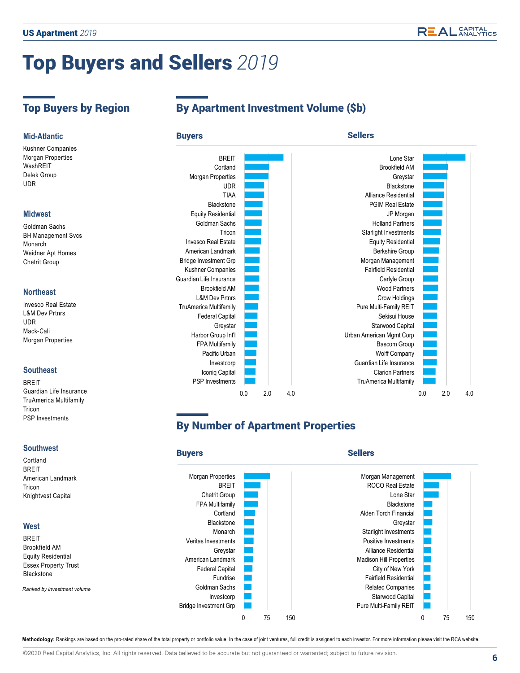# Top Buyers and Sellers *2019*

Kushner Companies Morgan Properties WashREIT Delek Group UDR

#### **Midwest**

Goldman Sachs BH Management Svcs Monarch Weidner Apt Homes Chetrit Group

#### **Northeast**

Invesco Real Estate L&M Dev Prtnrs UDR Mack-Cali Morgan Properties

### **Southeast**

**BREIT** Guardian Life Insurance TruAmerica Multifamily Tricon PSP Investments

#### **Southwest**

Cortland BREIT American Landmark Tricon Knightvest Capital

#### **West**

BREIT Brookfield AM Equity Residential Essex Property Trust Blackstone

*Ranked by investment volume*

# Top Buyers by Region By Apartment Investment Volume (\$b)



# By Number of Apartment Properties



Methodology: Rankings are based on the pro-rated share of the total property or portfolio value. In the case of joint ventures, full credit is assigned to each investor. For more information please visit the RCA website.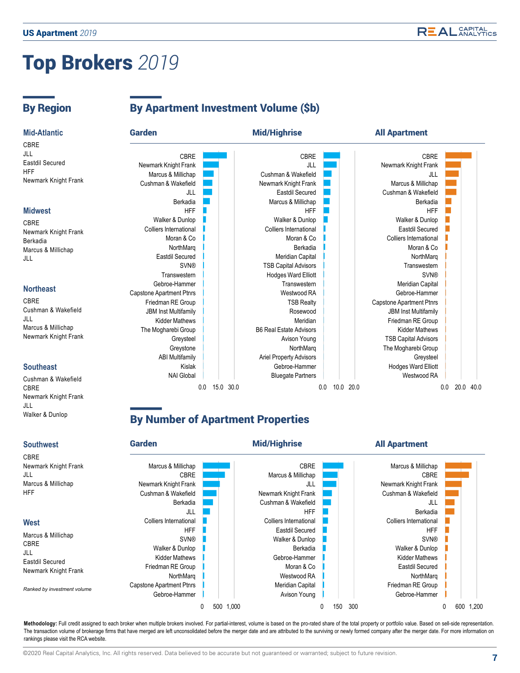# Top Brokers *2019*

Walker & Dunlop

# By Region By Apartment Investment Volume (\$b)



## **By Number of Apartment Properties**



Methodology: Full credit assigned to each broker when multiple brokers involved. For partial-interest, volume is based on the pro-rated share of the total property or portfolio value. Based on sell-side representation. The transaction volume of brokerage firms that have merged are left unconsolidated before the merger date and are attributed to the surviving or newly formed company after the merger date. For more information on rankings please visit the RCA website.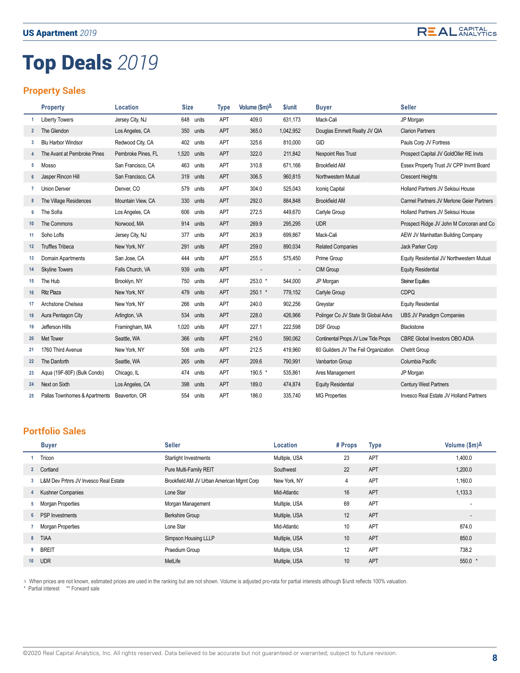**REAL** CAPITAL

# Top Deals *2019*

## **Property Sales**

|                 | <b>Property</b>                             | Location           | <b>Size</b>    | <b>Type</b> | Volume $(\$m)^{\Delta}$  | \$/unit                  | <b>Buyer</b>                         | <b>Seller</b>                             |
|-----------------|---------------------------------------------|--------------------|----------------|-------------|--------------------------|--------------------------|--------------------------------------|-------------------------------------------|
|                 | <b>Liberty Towers</b>                       | Jersey City, NJ    | 648<br>units   | APT         | 409.0                    | 631,173                  | Mack-Cali                            | JP Morgan                                 |
| $\mathbf{2}$    | The Glendon                                 | Los Angeles, CA    | 350 units      | <b>APT</b>  | 365.0                    | 1,042,952                | Douglas Emmett Realty JV QIA         | <b>Clarion Partners</b>                   |
| 3               | <b>Blu Harbor Windsor</b>                   | Redwood City, CA   | 402<br>units   | APT         | 325.6                    | 810,000                  | GID                                  | Pauls Corp JV Fortress                    |
|                 | The Avant at Pembroke Pines                 | Pembroke Pines, FL | 1,520<br>units | APT         | 322.0                    | 211,842                  | <b>Nexpoint Res Trust</b>            | Prospect Capital JV GoldOller RE Invts    |
| 5               | Mosso                                       | San Francisco, CA  | 463<br>units   | APT         | 310.8                    | 671,166                  | <b>Brookfield AM</b>                 | Essex Property Trust JV CPP Invmt Board   |
| $6\overline{6}$ | Jasper Rincon Hill                          | San Francisco, CA  | 319<br>units   | APT         | 306.5                    | 960,815                  | Northwestern Mutual                  | <b>Crescent Heights</b>                   |
|                 | <b>Union Denver</b>                         | Denver, CO         | 579<br>units   | APT         | 304.0                    | 525,043                  | Iconiq Capital                       | Holland Partners JV Sekisui House         |
| 8               | The Village Residences                      | Mountain View, CA  | 330<br>units   | APT         | 292.0                    | 884,848                  | <b>Brookfield AM</b>                 | Carmel Partners JV Merlone Geier Partners |
| 9               | The Sofia                                   | Los Angeles, CA    | 606<br>units   | APT         | 272.5                    | 449,670                  | Carlyle Group                        | Holland Partners JV Sekisui House         |
| 10              | The Commons                                 | Norwood, MA        | 914<br>units   | APT         | 269.9                    | 295,295                  | <b>UDR</b>                           | Prospect Ridge JV John M Corcoran and Co  |
| 11              | Soho Lofts                                  | Jersey City, NJ    | 377<br>units   | APT         | 263.9                    | 699,867                  | Mack-Cali                            | AEW JV Manhattan Building Company         |
| 12 <sup>2</sup> | <b>Truffles Tribeca</b>                     | New York, NY       | 291<br>units   | <b>APT</b>  | 259.0                    | 890,034                  | <b>Related Companies</b>             | Jack Parker Corp                          |
| 13              | Domain Apartments                           | San Jose, CA       | 444<br>units   | <b>APT</b>  | 255.5                    | 575,450                  | Prime Group                          | Equity Residential JV Northwestern Mutual |
| 14              | <b>Skyline Towers</b>                       | Falls Church, VA   | 939<br>units   | APT         | $\overline{\phantom{a}}$ | $\overline{\phantom{a}}$ | CIM Group                            | <b>Equity Residential</b>                 |
| 15              | The Hub                                     | Brooklyn, NY       | 750<br>units   | APT         | 253.0 *                  | 544,000                  | JP Morgan                            | <b>Steiner Equities</b>                   |
| 16              | <b>Ritz Plaza</b>                           | New York, NY       | 479<br>units   | <b>APT</b>  | $250.1$ *                | 779,152                  | Carlyle Group                        | <b>CDPQ</b>                               |
| 17              | Archstone Chelsea                           | New York, NY       | 266<br>units   | APT         | 240.0                    | 902,256                  | Greystar                             | <b>Equity Residential</b>                 |
| 18              | Aura Pentagon City                          | Arlington, VA      | 534<br>units   | APT         | 228.0                    | 426,966                  | Polinger Co JV State St Global Advs  | <b>UBS JV Paradigm Companies</b>          |
| 19              | Jefferson Hills                             | Framingham, MA     | 1,020<br>units | APT         | 227.1                    | 222,598                  | <b>DSF Group</b>                     | Blackstone                                |
| 20              | Met Tower                                   | Seattle, WA        | 366<br>units   | APT         | 216.0                    | 590,062                  | Continental Props JV Low Tide Props  | CBRE Global Investors OBO ADIA            |
| 21              | 1760 Third Avenue                           | New York, NY       | 506<br>units   | APT         | 212.5                    | 419,960                  | 60 Guilders JV The Feil Organization | <b>Chetrit Group</b>                      |
| 22              | The Danforth                                | Seattle, WA        | 265<br>units   | <b>APT</b>  | 209.6                    | 790,991                  | Vanbarton Group                      | Columbia Pacific                          |
| 23              | Aqua (19F-80F) (Bulk Condo)                 | Chicago, IL        | 474<br>units   | <b>APT</b>  | 190.5 *                  | 535,861                  | Ares Management                      | JP Morgan                                 |
| 24              | Next on Sixth                               | Los Angeles, CA    | 398<br>units   | APT         | 189.0                    | 474,874                  | <b>Equity Residential</b>            | <b>Century West Partners</b>              |
| 25              | Pallas Townhomes & Apartments Beaverton, OR |                    | 554<br>units   | APT         | 186.0                    | 335.740                  | <b>MG Properties</b>                 | Invesco Real Estate JV Holland Partners   |

### **Portfolio Sales**

|                | <b>Buyer</b>                          | <b>Seller</b>                             | Location      | # Props         | <b>Type</b> | Volume $(\$m)$ <sup><math>\Delta</math></sup> |
|----------------|---------------------------------------|-------------------------------------------|---------------|-----------------|-------------|-----------------------------------------------|
|                | Tricon                                | Starlight Investments                     | Multiple, USA | 23              | APT         | 1,400.0                                       |
| $\overline{2}$ | Cortland                              | Pure Multi-Family REIT                    | Southwest     | 22              | APT         | 1,200.0                                       |
| 3              | L&M Dev Prtnrs JV Invesco Real Estate | Brookfield AM JV Urban American Mgmt Corp | New York, NY  | 4               | APT         | 1,160.0                                       |
| 4              | <b>Kushner Companies</b>              | Lone Star                                 | Mid-Atlantic  | 16              | APT         | 1,133.3                                       |
| 5              | Morgan Properties                     | Morgan Management                         | Multiple, USA | 69              | APT         | $\overline{\phantom{a}}$                      |
| $6^{\circ}$    | <b>PSP</b> Investments                | <b>Berkshire Group</b>                    | Multiple, USA | 12              | APT         | $\overline{\phantom{a}}$                      |
|                | Morgan Properties                     | Lone Star                                 | Mid-Atlantic  | 10              | APT         | 874.0                                         |
| 8              | <b>TIAA</b>                           | Simpson Housing LLLP                      | Multiple, USA | 10              | APT         | 850.0                                         |
| 9              | <b>BREIT</b>                          | Praedium Group                            | Multiple, USA | 12              | APT         | 738.2                                         |
| 10             | <b>UDR</b>                            | MetLife                                   | Multiple, USA | 10 <sup>°</sup> | <b>APT</b>  | $550.0*$                                      |

△ When prices are not known, estimated prices are used in the ranking but are not shown. Volume is adjusted pro-rata for partial interests although \$/unit reflects 100% valuation.

\* Partial interest \*\* Forward sale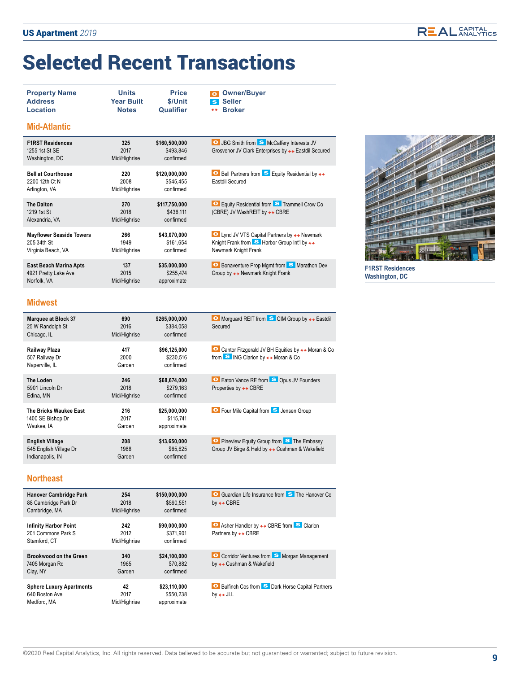# Selected Recent Transactions

| <b>Property Name</b><br><b>Address</b><br>Location<br><b>Mid-Atlantic</b> | <b>Units</b><br><b>Year Built</b><br><b>Notes</b> | <b>Price</b><br>\$/Unit<br>Qualifier    | <b>Owner/Buyer</b><br><b>Seller</b><br>S<br><b>Broker</b><br>$\leftrightarrow$                                   |
|---------------------------------------------------------------------------|---------------------------------------------------|-----------------------------------------|------------------------------------------------------------------------------------------------------------------|
| <b>F1RST Residences</b><br>1255 1st St SE<br>Washington, DC               | 325<br>2017<br>Mid/Highrise                       | \$160,500,000<br>\$493.846<br>confirmed | <b>O</b> JBG Smith from <b>S</b> McCaffery Interests JV<br>Grosvenor JV Clark Enterprises by + + Eastdil Secured |
| <b>Bell at Courthouse</b><br>2200 12th Ct N<br>Arlington, VA              | 220<br>2008<br>Mid/Highrise                       | \$120,000,000<br>\$545.455<br>confirmed | <b>O</b> Bell Partners from <b>S</b> Equity Residential by $\leftrightarrow$<br>Eastdil Secured                  |

| <b>The Dalton</b><br>1219 1st St<br>Alexandria, VA                   | 270<br>2018<br>Mid/Highrise | \$117,750,000<br>\$436.111<br>confirmed  | <b>O</b> Equity Residential from <b>S</b> Trammell Crow Co<br>(CBRE) JV WashREIT by ← CBRE                                                           |
|----------------------------------------------------------------------|-----------------------------|------------------------------------------|------------------------------------------------------------------------------------------------------------------------------------------------------|
| <b>Mayflower Seaside Towers</b><br>205 34th St<br>Virginia Beach, VA | 266<br>1949<br>Mid/Highrise | \$43,070,000<br>\$161.654<br>confirmed   | <b>O</b> Lynd JV VTS Capital Partners by ← Newmark<br>Knight Frank from $\mathbf{S}$ Harbor Group Int'l by $\leftrightarrow$<br>Newmark Knight Frank |
| East Beach Marina Apts<br>4921 Pretty Lake Ave<br>Norfolk, VA        | 137<br>2015<br>Mid/Highrise | \$35,000,000<br>\$255,474<br>approximate | <b>O</b> Bonaventure Prop Mgmt from <b>S</b> Marathon Dev<br>Group by ← Newmark Knight Frank                                                         |



**F1RST Residences Washington, DC**

#### **Midwest**

| <b>Marquee at Block 37</b><br>25 W Randolph St<br>Chicago, IL        | 690<br>2016<br>Mid/Highrise | \$265,000,000<br>\$384.058<br>confirmed  | ■ Morquard REIT from S CIM Group by ← Eastdil<br>Secured                                                                         |
|----------------------------------------------------------------------|-----------------------------|------------------------------------------|----------------------------------------------------------------------------------------------------------------------------------|
| Railway Plaza<br>507 Railway Dr<br>Naperville, IL                    | 417<br>2000<br>Garden       | \$96,125,000<br>\$230.516<br>confirmed   | ■ Cantor Fitzgerald JV BH Equities by $\leftrightarrow$ Moran & Co<br>from $\bullet$ ING Clarion by $\leftrightarrow$ Moran & Co |
| The Loden<br>5901 Lincoln Dr<br>Edina, MN                            | 246<br>2018<br>Mid/Highrise | \$68,674,000<br>\$279.163<br>confirmed   | <b>O</b> Eaton Vance RE from <b>S</b> Opus JV Founders<br>Properties by $\leftrightarrow$ CBRE                                   |
| The Bricks Waukee East<br>1400 SE Bishop Dr<br>Waukee, IA            | 216<br>2017<br>Garden       | \$25,000,000<br>\$115,741<br>approximate | <b>O</b> Four Mile Capital from <b>S</b> Jensen Group                                                                            |
| <b>English Village</b><br>545 English Village Dr<br>Indianapolis, IN | 208<br>1988<br>Garden       | \$13,650,000<br>\$65,625<br>confirmed    | <b>O</b> Pineview Equity Group from <b>S</b> The Embassy<br>Group JV Birge & Held by ← Cushman & Wakefield                       |

#### **Northeast**

| Hanover Cambridge Park<br>88 Cambridge Park Dr<br>Cambridge, MA    | 254<br>2018<br>Mid/Highrise | \$150,000,000<br>\$590.551<br>confirmed  | <b>O</b> Guardian Life Insurance from <b>S</b> The Hanover Co<br>by $\leftrightarrow$ CBRE            |
|--------------------------------------------------------------------|-----------------------------|------------------------------------------|-------------------------------------------------------------------------------------------------------|
| <b>Infinity Harbor Point</b><br>201 Commons Park S<br>Stamford, CT | 242<br>2012<br>Mid/Highrise | \$90,000,000<br>\$371.901<br>confirmed   | <b>■</b> Asher Handler by $\leftrightarrow$ CBRE from S Clarion<br>Partners by $\leftrightarrow$ CBRE |
| Brookwood on the Green<br>7405 Morgan Rd<br>Clay, NY               | 340<br>1965<br>Garden       | \$24,100,000<br>\$70.882<br>confirmed    | C Corridor Ventures from S Morgan Management<br>by ← Cushman & Wakefield                              |
| <b>Sphere Luxury Apartments</b><br>640 Boston Ave<br>Medford, MA   | 42<br>2017<br>Mid/Highrise  | \$23,110,000<br>\$550.238<br>approximate | <b>O</b> Bulfinch Cos from <b>S</b> Dark Horse Capital Partners<br>by $\leftrightarrow$ JLL           |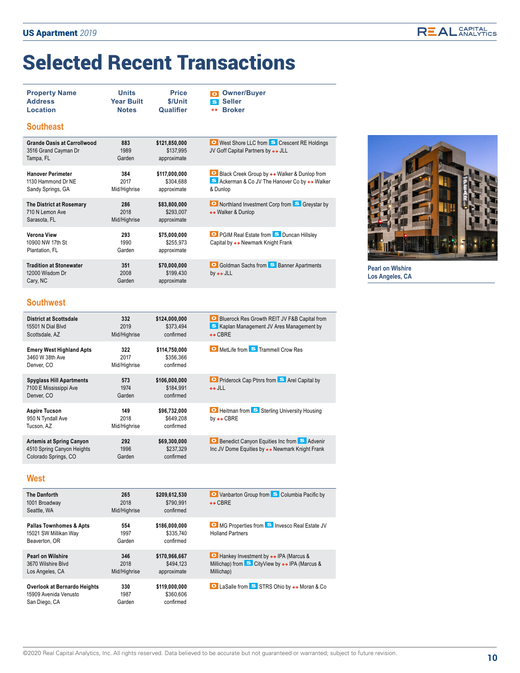# Selected Recent Transactions

| <b>Property Name</b><br><b>Address</b><br>Location                      | <b>Units</b><br><b>Year Built</b><br><b>Notes</b> | <b>Price</b><br>\$/Unit<br>Qualifier      | <b>Owner/Buyer</b><br>$\Omega$<br><b>Seller</b><br>$\mathbf{s}$<br><b>Broker</b><br>$\leftrightarrow$        |
|-------------------------------------------------------------------------|---------------------------------------------------|-------------------------------------------|--------------------------------------------------------------------------------------------------------------|
| <b>Southeast</b>                                                        |                                                   |                                           |                                                                                                              |
| <b>Grande Oasis at Carrollwood</b><br>3516 Grand Cayman Dr<br>Tampa, FL | 883<br>1989<br>Garden                             | \$121,850,000<br>\$137,995<br>approximate | <b>O</b> West Shore LLC from <b>S</b> Crescent RE Holdings<br>JV Goff Capital Partners by ++ JLL             |
| <b>Hanover Perimeter</b><br>1130 Hammond Dr NE<br>Sandy Springs, GA     | 384<br>2017<br>Mid/Highrise                       | \$117,000,000<br>\$304,688<br>approximate | ■ Black Creek Group by ← Walker & Dunlop from<br>S Ackerman & Co JV The Hanover Co by + + Walker<br>& Dunlop |
| The District at Rosemary<br>710 N Lemon Ave<br>Sarasota, FL             | 286<br>2018<br>Mid/Highrise                       | \$83,800,000<br>\$293,007<br>approximate  | Northland Investment Corp from S Greystar by<br>← Walker & Dunlop                                            |
| Verona View<br>10900 NW 17th St<br>Plantation, FL                       | 293<br>1990<br>Garden                             | \$75,000,000<br>\$255,973<br>approximate  | <b>O</b> PGIM Real Estate from <b>S</b> Duncan Hillsley<br>Capital by ← Newmark Knight Frank                 |
| <b>Tradition at Stonewater</b><br>12000 Wisdom Dr<br>Cary, NC           | 351<br>2008<br>Garden                             | \$70,000,000<br>\$199,430<br>approximate  | <b>O</b> Goldman Sachs from <b>S</b> Banner Apartments<br>by $\leftrightarrow$ JLL                           |



**Pearl on Wlshire Los Angeles, CA**

### **Southwest**

| <b>District at Scottsdale</b><br>15501 N Dial Blyd<br>Scottsdale, AZ                  | 332<br>2019<br>Mid/Highrise | \$124,000,000<br>\$373.494<br>confirmed | <b>O</b> Bluerock Res Growth REIT JV F&B Capital from<br>S Kaplan Management JV Ares Management by<br>$\leftrightarrow$ CBRE  |
|---------------------------------------------------------------------------------------|-----------------------------|-----------------------------------------|-------------------------------------------------------------------------------------------------------------------------------|
| <b>Emery West Highland Apts</b><br>3460 W 38th Ave<br>Denver, CO                      | 322<br>2017<br>Mid/Highrise | \$114.750.000<br>\$356.366<br>confirmed | O MetLife from S Trammell Crow Res                                                                                            |
| <b>Spyglass Hill Apartments</b><br>7100 E Mississippi Ave<br>Denver, CO               | 573<br>1974<br>Garden       | \$106,000,000<br>\$184.991<br>confirmed | <b>O</b> Priderock Cap Ptnrs from S Arel Capital by<br>$\leftrightarrow$ JLL                                                  |
| Aspire Tucson<br>950 N Tyndall Ave<br>Tucson, AZ                                      | 149<br>2018<br>Mid/Highrise | \$96.732.000<br>\$649.208<br>confirmed  | <b>O</b> Heitman from <b>S</b> Sterling University Housing<br>by $\leftrightarrow$ CBRE                                       |
| <b>Artemis at Spring Canyon</b><br>4510 Spring Canyon Heights<br>Colorado Springs, CO | 292<br>1996<br>Garden       | \$69,300,000<br>\$237.329<br>confirmed  | <b>O</b> Benedict Canyon Equities Inc from <b>S</b> Advenir<br>Inc JV Dome Equities by $\leftrightarrow$ Newmark Knight Frank |

#### **West**

| <b>The Danforth</b><br>1001 Broadway<br>Seattle, WA                          | 265<br>2018<br>Mid/Highrise | \$209,612,530<br>\$790.991<br>confirmed | <b>O</b> Vanbarton Group from <b>S</b> Columbia Pacific by<br>$\leftrightarrow$ CBRE   |
|------------------------------------------------------------------------------|-----------------------------|-----------------------------------------|----------------------------------------------------------------------------------------|
| <b>Pallas Townhomes &amp; Apts</b><br>15021 SW Millikan Way<br>Beaverton, OR | 554<br>1997<br>Garden       | \$186,000,000<br>\$335.740<br>confirmed | <b>O</b> MG Properties from <b>S</b> Invesco Real Estate JV<br><b>Holland Partners</b> |
| <b>Pearl on Wilshire</b>                                                     | 346                         | \$170.966.667                           | <b>O</b> Hankey Investment by $\leftrightarrow$ IPA (Marcus &                          |
| 3670 Wilshire Blvd                                                           | 2018                        | \$494.123                               | Millichap) from $\bullet$ CityView by $\leftrightarrow$ IPA (Marcus &                  |
| Los Angeles, CA                                                              | Mid/Highrise                | approximate                             | Millichap)                                                                             |
| Overlook at Bernardo Heights                                                 | 330                         | \$119,000,000                           | <b>■</b> LaSalle from S STRS Ohio by $\leftrightarrow$ Moran & Co                      |
| 15909 Avenida Venusto                                                        | 1987                        | \$360,606                               |                                                                                        |
| San Diego, CA                                                                | Garden                      | confirmed                               |                                                                                        |